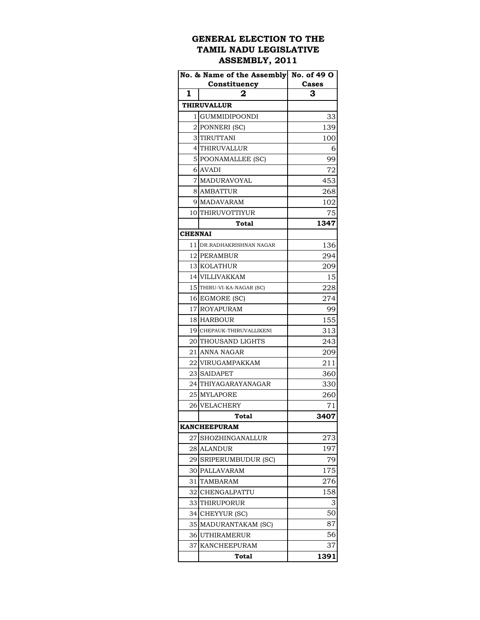## **GENERAL ELECTION TO THE TAMIL NADU LEGISLATIVE ASSEMBLY, 2011**

|                | No. & Name of the Assembly No. of 49 O |       |
|----------------|----------------------------------------|-------|
|                | Constituency                           | Cases |
| $\mathbf{1}$   | 2                                      | 3     |
|                | <b>THIRUVALLUR</b>                     |       |
|                | 1 I GUMMIDIPOONDI                      | 33    |
|                | 2 PONNERI (SC)                         | 139   |
|                | 3 TIRUTTANI                            | 100   |
|                | 4 THIRUVALLUR                          | 6     |
|                | 5 POONAMALLEE (SC)                     | 99    |
|                | 6 AVADI                                | 72    |
|                | 7 MADURAVOYAL                          | 453   |
|                | 8 AMBATTUR                             | 268   |
|                | 9 MADAVARAM                            | 102   |
|                | 10 THIRUVOTTIYUR                       | 75    |
|                | <b>Total</b>                           | 1347  |
| <b>CHENNAI</b> |                                        |       |
|                | 11 DR.RADHAKRISHNAN NAGAR              | 136   |
|                | 12 PERAMBUR                            | 294   |
|                | 13 KOLATHUR                            | 209   |
|                | 14 VILLIVAKKAM                         | 15    |
|                | 15 THIRU-VI-KA-NAGAR (SC)              | 228   |
|                | 16 EGMORE (SC)                         | 274   |
|                | 17 ROYAPURAM                           | 99    |
|                | 18 HARBOUR                             | 155   |
|                | 19 CHEPAUK-THIRUVALLIKENI              | 313   |
|                | 20 THOUSAND LIGHTS                     | 243   |
|                | 21 ANNA NAGAR                          | 209   |
|                | 22 VIRUGAMPAKKAM                       | 211   |
|                | 23 SAIDAPET                            | 360   |
|                | 24 THIYAGARAYANAGAR                    | 330   |
|                | 25 MYLAPORE                            | 260   |
| 26             | VELACHERY                              | 71    |
|                | <b>Total</b>                           | 3407  |
|                | <b>KANCHEEPURAM</b>                    |       |
| 27             | SHOZHINGANALLUR                        | 273   |
|                | 28 ALANDUR                             | 197   |
|                | 29 SRIPERUMBUDUR (SC)                  | 79    |
| 30             | PALLAVARAM                             | 175   |
| 31             | TAMBARAM                               | 276   |
| 32I            | CHENGALPATTU                           | 158   |
|                | 33 THIRUPORUR                          | 3     |
| 34             | CHEYYUR (SC)                           | 50    |
|                | 35 MADURANTAKAM (SC)                   | 87    |
|                | 36 UTHIRAMERUR                         | 56    |
| 37             | KANCHEEPURAM                           | 37    |
|                | Total                                  | 1391  |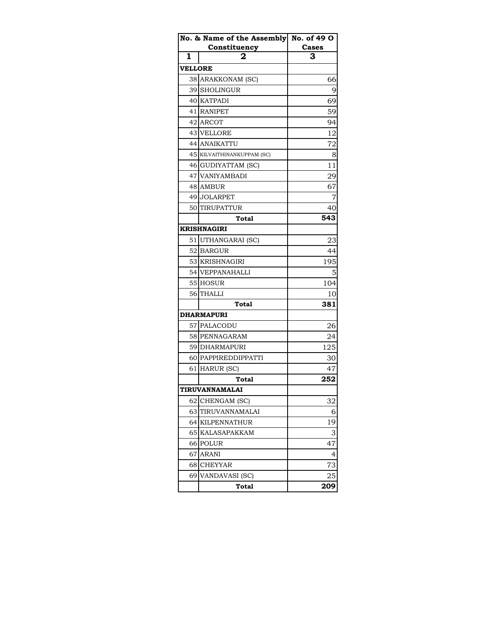|                | No. & Name of the Assembly No. of 49 O |       |
|----------------|----------------------------------------|-------|
|                | Constituency                           | Cases |
| 1              | 2                                      | З     |
| <b>VELLORE</b> |                                        |       |
|                | 38 ARAKKONAM (SC)                      | 66    |
|                | 39 SHOLINGUR                           | 9     |
|                | 40 KATPADI                             | 69    |
|                | 41 RANIPET                             | 59    |
|                | 42 ARCOT                               | 94    |
|                | <b>43 VELLORE</b>                      | 12    |
|                | 44 ANAIKATTU                           | 72    |
|                | 45 KILVAITHINANKUPPAM (SC)             | 8     |
|                | 46 GUDIYATTAM (SC)                     | 11    |
|                | 47 VANIYAMBADI                         | 29    |
|                | 48 AMBUR                               | 67    |
|                | 49 JOLARPET                            |       |
| 50             | TIRUPATTUR                             | 40    |
|                | Total                                  | 543   |
|                | <b>KRISHNAGIRI</b>                     |       |
|                | 51 UTHANGARAI (SC)                     | 23    |
|                | 52 BARGUR                              | 44    |
|                | 53 KRISHNAGIRI                         | 195   |
|                | 54 VEPPANAHALLI                        |       |
|                | 55 HOSUR                               | 104   |
|                | 56 THALLI                              | 10    |
|                | <b>Total</b>                           | 381   |
|                | <b>DHARMAPURI</b>                      |       |
|                | 57 PALACODU                            | 26    |
|                | 58 PENNAGARAM                          | 24    |
|                | 59 DHARMAPURI                          | 125   |
|                | 60 PAPPIREDDIPPATTI                    | 30    |
|                | 61 HARUR (SC)                          | 47    |
|                | <b>Total</b>                           | 252   |
|                | TIRUVANNAMALAI                         |       |
| 62             | CHENGAM (SC)                           | 32    |
| 63             | TIRUVANNAMALAI                         | 6     |
| 64             | <b>KILPENNATHUR</b>                    | 19    |
| 65             | <b>KALASAPAKKAM</b>                    | 3     |
|                | 66 POLUR                               | 47    |
| 67             | ARANI                                  | 4     |
| 68             | <b>CHEYYAR</b>                         | 73    |
| 69             | VANDAVASI (SC)                         | 25    |
|                | Total                                  | 209   |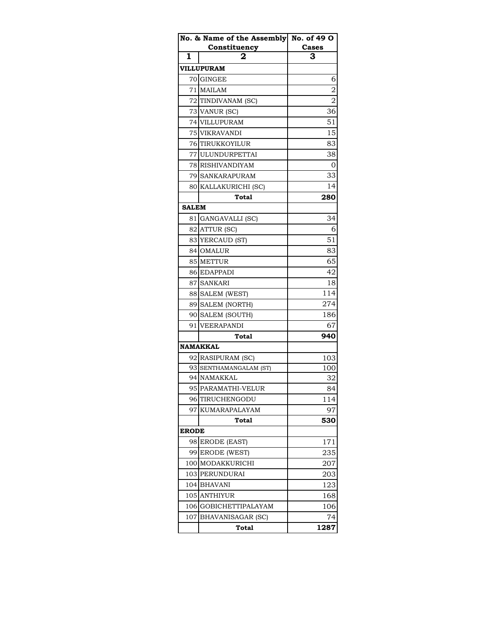|              | No. & Name of the Assembly | No. of 49 O |
|--------------|----------------------------|-------------|
|              | Constituency               | Cases       |
| 1            |                            | 3           |
|              | <b>VILLUPURAM</b>          |             |
|              | 70 GINGEE                  | 6           |
|              | 71 MAILAM                  | 2           |
|              | 72 TINDIVANAM (SC)         | 2           |
|              | 73 VANUR (SC)              | 36          |
|              | 74 VILLUPURAM              | 51          |
|              | 75 VIKRAVANDI              | 15          |
|              | 76 TIRUKKOYILUR            | 83          |
|              | 77 ULUNDURPETTAI           | 38          |
|              | 78 RISHIVANDIYAM           | 0           |
|              | 79 SANKARAPURAM            | 33          |
|              | 80 KALLAKURICHI (SC)       | 14          |
|              | Total                      | 280         |
| <b>SALEM</b> |                            |             |
|              | 81 GANGAVALLI (SC)         | 34          |
|              | 82 ATTUR (SC)              | 6           |
|              | 83 YERCAUD (ST)            | 51          |
|              | 84 OMALUR                  | 83          |
|              | 85 METTUR                  | 65          |
|              | 86 EDAPPADI                | 42          |
|              | 87 SANKARI                 | 18          |
|              | 88 SALEM (WEST)            | 114         |
|              | 89 SALEM (NORTH)           | 274         |
|              | 90 SALEM (SOUTH)           | 186         |
|              | 91 VEERAPANDI              | 67          |
|              | Total                      | 940         |
|              | <b>NAMAKKAL</b>            |             |
|              | 92 RASIPURAM (SC)          | 103         |
|              | 93 SENTHAMANGALAM (ST)     | 100         |
|              | 94 NAMAKKAL                | 32          |
| 95           | PARAMATHI-VELUR            | 84          |
| 96           | TIRUCHENGODU               | 114         |
| 97           | KUMARAPALAYAM              | 97          |
|              | Total                      | 530         |
| <b>ERODE</b> |                            |             |
|              | 98 ERODE (EAST)            | 171         |
| 99           | ERODE (WEST)               | 235         |
|              | 100 MODAKKURICHI           | 207         |
|              | 103 PERUNDURAI             | 203         |
|              | 104 BHAVANI                | 123         |
|              | 105 ANTHIYUR               | 168         |
| 106          | <b>GOBICHETTIPALAYAM</b>   | 106         |
| 107          | <b>BHAVANISAGAR (SC)</b>   | 74          |
|              | Total                      | 1287        |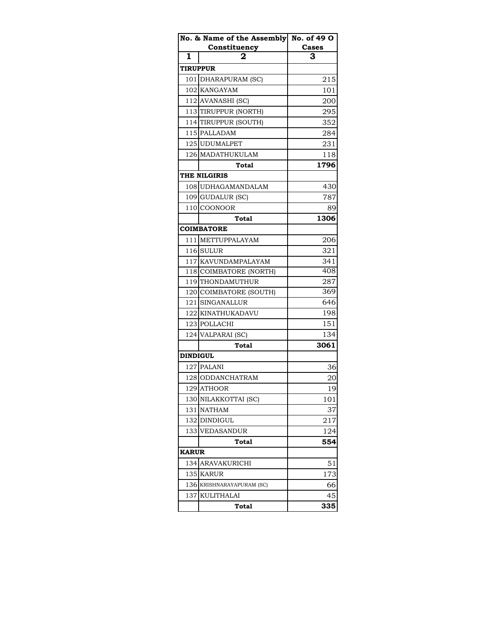|                 | No. & Name of the Assembly No. of 49 O |       |
|-----------------|----------------------------------------|-------|
|                 | Constituency                           | Cases |
| 1               |                                        | 3     |
| <b>TIRUPPUR</b> |                                        |       |
|                 | 101 DHARAPURAM (SC)                    | 215   |
|                 | 102 KANGAYAM                           | 101   |
|                 | 112 AVANASHI (SC)                      | 200   |
|                 | 113 TIRUPPUR (NORTH)                   | 295   |
|                 | 114 TIRUPPUR (SOUTH)                   | 352   |
|                 | 115 PALLADAM                           | 284   |
|                 | 125 UDUMALPET                          | 231   |
|                 | 126 MADATHUKULAM                       | 118   |
|                 | Total                                  | 1796  |
|                 | <b>THE NILGIRIS</b>                    |       |
|                 | 108 UDHAGAMANDALAM                     | 430   |
|                 | 109 GUDALUR (SC)                       | 787   |
|                 | 110 COONOOR                            | 89    |
|                 | <b>Total</b>                           | 1306  |
|                 | <b>COIMBATORE</b>                      |       |
|                 | 111   METTUPPALAYAM                    | 206   |
|                 | 116 SULUR                              | 321   |
|                 | 117 KAVUNDAMPALAYAM                    | 341   |
|                 | 118 COIMBATORE (NORTH)                 | 408   |
|                 | 119 THONDAMUTHUR                       | 287   |
|                 | 120 COIMBATORE (SOUTH)                 | 369   |
|                 | 121 SINGANALLUR                        | 646   |
|                 | 122 KINATHUKADAVU                      | 198   |
|                 | 123 POLLACHI                           | 151   |
|                 | 124 VALPARAI (SC)                      | 134   |
|                 | <b>Total</b>                           | 3061  |
| <b>DINDIGUL</b> |                                        |       |
|                 | 127 PALANI                             | 36    |
|                 | 128 ODDANCHATRAM                       | 20    |
|                 | 129 ATHOOR                             | 19    |
| 130             | NILAKKOTTAI (SC)                       | 101   |
|                 | 131 NATHAM                             | 37    |
|                 | 132 DINDIGUL                           | 217   |
| 133             | VEDASANDUR                             | 124   |
|                 | Total                                  | 554   |
| <b>KARUR</b>    |                                        |       |
| 134             | ARAVAKURICHI                           | 51    |
| 135             | <b>KARUR</b>                           | 173   |
| 136             | KRISHNARAYAPURAM (SC)                  | 66    |
| 137             | KULITHALAI                             | 45    |
|                 | <b>Total</b>                           | 335   |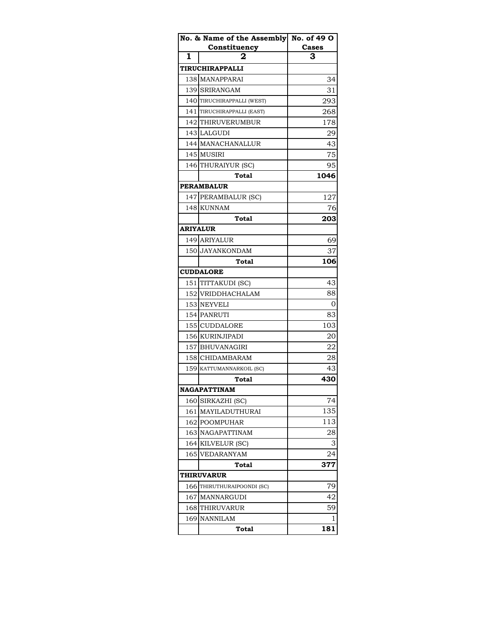|                 | No. & Name of the Assembly No. of 49 O |       |
|-----------------|----------------------------------------|-------|
|                 | Constituency                           | Cases |
| 1               | 2                                      | 3     |
|                 | TIRUCHIRAPPALLI                        |       |
|                 | 138 MANAPPARAI                         | 34    |
|                 | 139 SRIRANGAM                          | 31    |
|                 | 140 TIRUCHIRAPPALLI (WEST)             | 293   |
|                 | 141 TIRUCHIRAPPALLI (EAST)             | 268   |
|                 | 142 THIRUVERUMBUR                      | 178   |
|                 | 143 LALGUDI                            | 29    |
|                 | 144 MANACHANALLUR                      | 43    |
|                 | 145 MUSIRI                             | 75    |
|                 | 146 THURAIYUR (SC)                     | 95    |
|                 | Total                                  | 1046  |
|                 | <b>PERAMBALUR</b>                      |       |
|                 | 147 PERAMBALUR (SC)                    | 127   |
|                 | 148 KUNNAM                             | 76    |
|                 | <b>Total</b>                           | 203   |
| <b>ARIYALUR</b> |                                        |       |
|                 | 149 ARIYALUR                           | 69    |
|                 | 150 JAYANKONDAM                        | 37    |
|                 | Total                                  | 106   |
|                 | <b>CUDDALORE</b>                       |       |
|                 | 151 TITTAKUDI (SC)                     | 43    |
|                 | 152 VRIDDHACHALAM                      | 88    |
|                 | 153 NEYVELI                            | 0     |
|                 | 154 PANRUTI                            | 83    |
|                 | 155 CUDDALORE                          | 103   |
|                 | 156 KURINJIPADI                        | 20    |
|                 | 157 BHUVANAGIRI                        | 22    |
|                 | 158 CHIDAMBARAM                        | 28    |
|                 | 159 KATTUMANNARKOIL (SC)               | 43    |
|                 | Total                                  | 430   |
|                 | NAGAPATTINAM                           |       |
| 160             | SIRKAZHI (SC)                          | 74    |
|                 | 161 MAYILADUTHURAI                     | 135   |
|                 | 162 POOMPUHAR                          | 113   |
|                 | 163 NAGAPATTINAM                       | 28    |
|                 | 164 KILVELUR (SC)                      | З     |
| 165             | <b>VEDARANYAM</b>                      | 24    |
|                 | Total                                  | 377   |
| THIRUVARUR      |                                        |       |
|                 | 166 THIRUTHURAIPOONDI (SC)             | 79    |
|                 | 167 MANNARGUDI                         | 42    |
|                 | 168 THIRUVARUR                         | 59    |
| 169             | <b>NANNILAM</b>                        | 1     |
|                 | <b>Total</b>                           | 181   |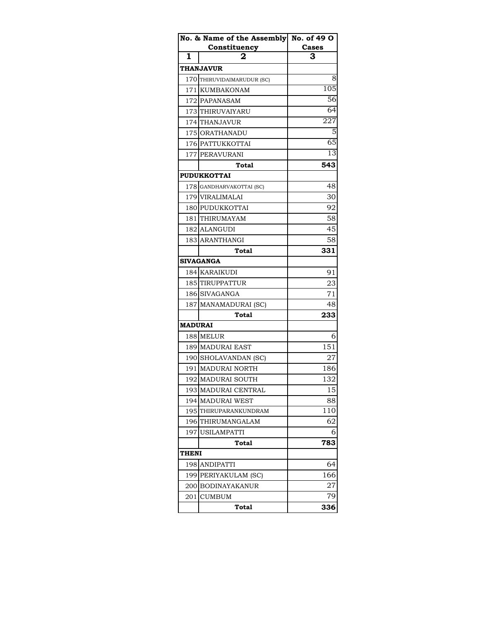|                | No. & Name of the Assembly No. of 49 O |                 |
|----------------|----------------------------------------|-----------------|
|                | Constituency                           | Cases           |
| 1              |                                        | 3               |
|                | <b>THANJAVUR</b>                       |                 |
|                | 170 THIRUVIDAIMARUDUR (SC)             | 8               |
| 1711           | <b>KUMBAKONAM</b>                      | 105             |
|                | 172 PAPANASAM                          | 56              |
|                | 173 THIRUVAIYARU                       | $\overline{64}$ |
|                | 174 THANJAVUR                          | 227             |
|                | 175 ORATHANADU                         | 5               |
|                | 176 PATTUKKOTTAI                       | 65              |
|                | 177 PERAVURANI                         | 13              |
|                | Total                                  | 543             |
|                | <b>PUDUKKOTTAI</b>                     |                 |
|                | 178 GANDHARVAKOTTAI (SC)               | 48              |
|                | 179 VIRALIMALAI                        | 30              |
|                | 180 PUDUKKOTTAI                        | 92              |
|                | 181 THIRUMAYAM                         | 58              |
|                | 182 ALANGUDI                           | 45              |
|                | 183 ARANTHANGI                         | 58              |
|                | Total                                  | 331             |
|                | <b>SIVAGANGA</b>                       |                 |
|                | 184 KARAIKUDI                          | 91              |
|                | 185 TIRUPPATTUR                        | 23              |
|                | 186 SIVAGANGA                          | 71              |
|                | 187 MANAMADURAI (SC)                   | 48              |
|                | <b>Total</b>                           | 233             |
| <b>MADURAI</b> |                                        |                 |
|                | 188 MELUR                              | 6               |
|                | 189 MADURAI EAST                       | 151             |
|                | 190 SHOLAVANDAN (SC)                   | 27              |
|                | 191 MADURAI NORTH                      | 186             |
|                | 192 MADURAI SOUTH                      | 132             |
| 193            | MADURAI CENTRAL                        | 15              |
| 194            | <b>MADURAI WEST</b>                    | 88              |
|                | 195 THIRUPARANKUNDRAM                  | 110             |
| 196            | THIRUMANGALAM                          | 62              |
| 197            | <b>USILAMPATTI</b>                     | 6               |
|                | Total                                  | 783             |
| THENI          |                                        |                 |
| 198            | ANDIPATTI                              | 64              |
| 199            | PERIYAKULAM (SC)                       | 166             |
|                | 200 BODINAYAKANUR                      | 27              |
| 201            | <b>CUMBUM</b>                          | 79              |
|                | Total                                  | 336             |